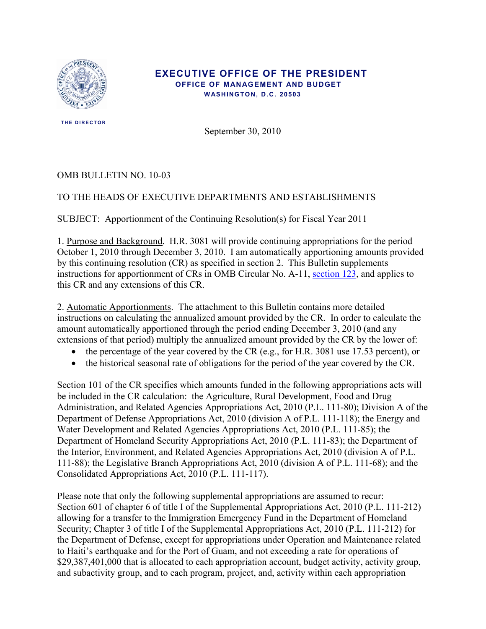

#### **EXECUTIVE OFFICE OF THE PRESIDENT OFFICE OF MANAGEMENT AND BUDGET WASHINGTON, D.C. 20503**

 **THE DIRECTOR** 

September 30, 2010

#### OMB BULLETIN NO. 10-03

# TO THE HEADS OF EXECUTIVE DEPARTMENTS AND ESTABLISHMENTS

SUBJECT: Apportionment of the Continuing Resolution(s) for Fiscal Year 2011

1. Purpose and Background. H.R. 3081 will provide continuing appropriations for the period October 1, 2010 through December 3, 2010. I am automatically apportioning amounts provided by this continuing resolution (CR) as specified in section 2. This Bulletin supplements instructions for apportionment of CRs in OMB Circular No. A-11, [section 123,](http://www.whitehouse.gov/sites/default/files/omb/assets/a11_current_year/s123.pdf) and applies to this CR and any extensions of this CR.

2. Automatic Apportionments. The attachment to this Bulletin contains more detailed instructions on calculating the annualized amount provided by the CR. In order to calculate the amount automatically apportioned through the period ending December 3, 2010 (and any extensions of that period) multiply the annualized amount provided by the CR by the <u>lower</u> of:

- the percentage of the year covered by the CR (e.g., for H.R. 3081 use 17.53 percent), or
- the historical seasonal rate of obligations for the period of the year covered by the CR.

Section 101 of the CR specifies which amounts funded in the following appropriations acts will be included in the CR calculation: the Agriculture, Rural Development, Food and Drug Administration, and Related Agencies Appropriations Act, 2010 (P.L. 111-80); Division A of the Department of Defense Appropriations Act, 2010 (division A of P.L. 111-118); the Energy and Water Development and Related Agencies Appropriations Act, 2010 (P.L. 111-85); the Department of Homeland Security Appropriations Act, 2010 (P.L. 111-83); the Department of the Interior, Environment, and Related Agencies Appropriations Act, 2010 (division A of P.L. 111-88); the Legislative Branch Appropriations Act, 2010 (division A of P.L. 111-68); and the Consolidated Appropriations Act, 2010 (P.L. 111-117).

Please note that only the following supplemental appropriations are assumed to recur: Section 601 of chapter 6 of title I of the Supplemental Appropriations Act, 2010 (P.L. 111-212) allowing for a transfer to the Immigration Emergency Fund in the Department of Homeland Security; Chapter 3 of title I of the Supplemental Appropriations Act, 2010 (P.L. 111-212) for the Department of Defense, except for appropriations under Operation and Maintenance related to Haiti's earthquake and for the Port of Guam, and not exceeding a rate for operations of \$29,387,401,000 that is allocated to each appropriation account, budget activity, activity group, and subactivity group, and to each program, project, and, activity within each appropriation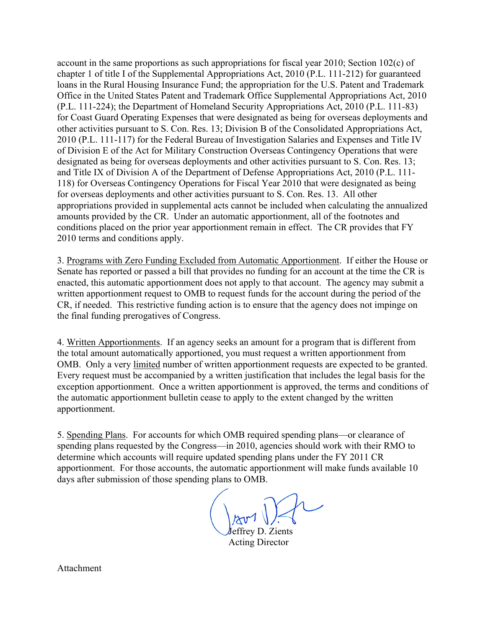account in the same proportions as such appropriations for fiscal year 2010; Section 102(c) of chapter 1 of title I of the Supplemental Appropriations Act, 2010 (P.L. 111-212) for guaranteed loans in the Rural Housing Insurance Fund; the appropriation for the U.S. Patent and Trademark Office in the United States Patent and Trademark Office Supplemental Appropriations Act, 2010 (P.L. 111-224); the Department of Homeland Security Appropriations Act, 2010 (P.L. 111-83) for Coast Guard Operating Expenses that were designated as being for overseas deployments and other activities pursuant to S. Con. Res. 13; Division B of the Consolidated Appropriations Act, 2010 (P.L. 111-117) for the Federal Bureau of Investigation Salaries and Expenses and Title IV of Division E of the Act for Military Construction Overseas Contingency Operations that were designated as being for overseas deployments and other activities pursuant to S. Con. Res. 13; and Title IX of Division A of the Department of Defense Appropriations Act, 2010 (P.L. 111- 118) for Overseas Contingency Operations for Fiscal Year 2010 that were designated as being for overseas deployments and other activities pursuant to S. Con. Res. 13. All other appropriations provided in supplemental acts cannot be included when calculating the annualized amounts provided by the CR. Under an automatic apportionment, all of the footnotes and conditions placed on the prior year apportionment remain in effect. The CR provides that FY 2010 terms and conditions apply.

3. Programs with Zero Funding Excluded from Automatic Apportionment. If either the House or Senate has reported or passed a bill that provides no funding for an account at the time the CR is enacted, this automatic apportionment does not apply to that account. The agency may submit a written apportionment request to OMB to request funds for the account during the period of the CR, if needed. This restrictive funding action is to ensure that the agency does not impinge on the final funding prerogatives of Congress.

4. Written Apportionments. If an agency seeks an amount for a program that is different from the total amount automatically apportioned, you must request a written apportionment from OMB. Only a very limited number of written apportionment requests are expected to be granted. Every request must be accompanied by a written justification that includes the legal basis for the exception apportionment. Once a written apportionment is approved, the terms and conditions of the automatic apportionment bulletin cease to apply to the extent changed by the written apportionment.

5. Spending Plans. For accounts for which OMB required spending plans—or clearance of spending plans requested by the Congress—in 2010, agencies should work with their RMO to determine which accounts will require updated spending plans under the FY 2011 CR apportionment. For those accounts, the automatic apportionment will make funds available 10 days after submission of those spending plans to OMB.

Jeffrey D. Zients

Acting Director

Attachment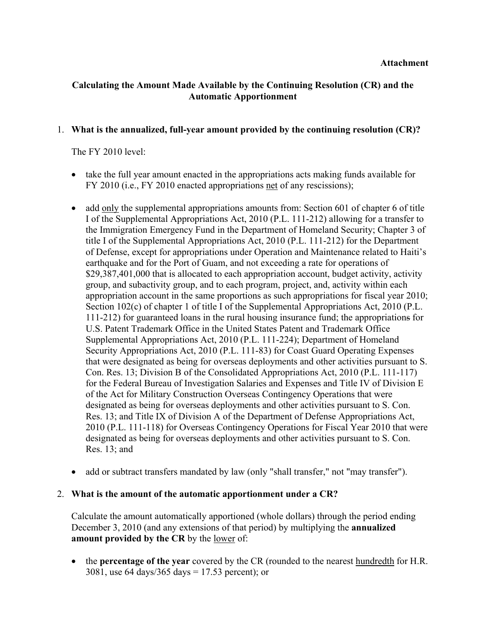## **Calculating the Amount Made Available by the Continuing Resolution (CR) and the Automatic Apportionment**

#### 1. **What is the annualized, full-year amount provided by the continuing resolution (CR)?**

The FY 2010 level:

- take the full year amount enacted in the appropriations acts making funds available for FY 2010 (i.e., FY 2010 enacted appropriations net of any rescissions);
- add only the supplemental appropriations amounts from: Section 601 of chapter 6 of title I of the Supplemental Appropriations Act, 2010 (P.L. 111-212) allowing for a transfer to the Immigration Emergency Fund in the Department of Homeland Security; Chapter 3 of title I of the Supplemental Appropriations Act, 2010 (P.L. 111-212) for the Department of Defense, except for appropriations under Operation and Maintenance related to Haiti's earthquake and for the Port of Guam, and not exceeding a rate for operations of \$29,387,401,000 that is allocated to each appropriation account, budget activity, activity group, and subactivity group, and to each program, project, and, activity within each appropriation account in the same proportions as such appropriations for fiscal year 2010; Section 102(c) of chapter 1 of title I of the Supplemental Appropriations Act, 2010 (P.L. 111-212) for guaranteed loans in the rural housing insurance fund; the appropriations for U.S. Patent Trademark Office in the United States Patent and Trademark Office Supplemental Appropriations Act, 2010 (P.L. 111-224); Department of Homeland Security Appropriations Act, 2010 (P.L. 111-83) for Coast Guard Operating Expenses that were designated as being for overseas deployments and other activities pursuant to S. Con. Res. 13; Division B of the Consolidated Appropriations Act, 2010 (P.L. 111-117) for the Federal Bureau of Investigation Salaries and Expenses and Title IV of Division E of the Act for Military Construction Overseas Contingency Operations that were designated as being for overseas deployments and other activities pursuant to S. Con. Res. 13; and Title IX of Division A of the Department of Defense Appropriations Act, 2010 (P.L. 111-118) for Overseas Contingency Operations for Fiscal Year 2010 that were designated as being for overseas deployments and other activities pursuant to S. Con. Res. 13; and
- add or subtract transfers mandated by law (only "shall transfer," not "may transfer").

#### 2. **What is the amount of the automatic apportionment under a CR?**

Calculate the amount automatically apportioned (whole dollars) through the period ending December 3, 2010 (and any extensions of that period) by multiplying the **annualized amount provided by the CR** by the lower of:

• the **percentage of the year** covered by the CR (rounded to the nearest hundredth for H.R. 3081, use 64 days/365 days = 17.53 percent); or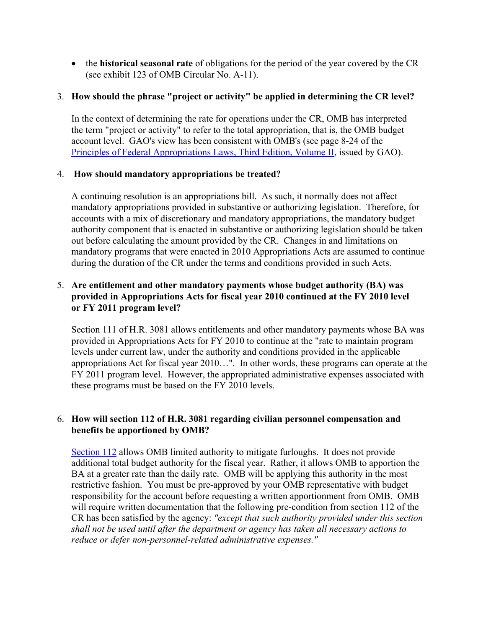• the **historical seasonal rate** of obligations for the period of the year covered by the CR (see exhibit 123 of OMB Circular No. A-11).

## 3. **How should the phrase "project or activity" be applied in determining the CR level?**

In the context of determining the rate for operations under the CR, OMB has interpreted the term "project or activity" to refer to the total appropriation, that is, the OMB budget account level. GAO's view has been consistent with OMB's (see page 8-24 of the [Principles of Federal Appropriations Laws, Third Edition, Volume II](http://www.gao.gov/special.pubs/d06382sp.pdf), issued by GAO).

## 4. **How should mandatory appropriations be treated?**

A continuing resolution is an appropriations bill. As such, it normally does not affect mandatory appropriations provided in substantive or authorizing legislation. Therefore, for accounts with a mix of discretionary and mandatory appropriations, the mandatory budget authority component that is enacted in substantive or authorizing legislation should be taken out before calculating the amount provided by the CR. Changes in and limitations on mandatory programs that were enacted in 2010 Appropriations Acts are assumed to continue during the duration of the CR under the terms and conditions provided in such Acts.

## 5. **Are entitlement and other mandatory payments whose budget authority (BA) was provided in Appropriations Acts for fiscal year 2010 continued at the FY 2010 level or FY 2011 program level?**

Section 111 of H.R. 3081 allows entitlements and other mandatory payments whose BA was provided in Appropriations Acts for FY 2010 to continue at the "rate to maintain program levels under current law, under the authority and conditions provided in the applicable appropriations Act for fiscal year 2010…". In other words, these programs can operate at the FY 2011 program level. However, the appropriated administrative expenses associated with these programs must be based on the FY 2010 levels.

## 6. **How will section 112 of H.R. 3081 regarding civilian personnel compensation and benefits be apportioned by OMB?**

[Section 112](http://www.whitehouse.gov/sites/default/files/omb/assets/a11_current_year/s112.pdf) allows OMB limited authority to mitigate furloughs. It does not provide additional total budget authority for the fiscal year. Rather, it allows OMB to apportion the BA at a greater rate than the daily rate. OMB will be applying this authority in the most restrictive fashion. You must be pre-approved by your OMB representative with budget responsibility for the account before requesting a written apportionment from OMB. OMB will require written documentation that the following pre-condition from section 112 of the CR has been satisfied by the agency: *"except that such authority provided under this section shall not be used until after the department or agency has taken all necessary actions to reduce or defer non-personnel-related administrative expenses."*